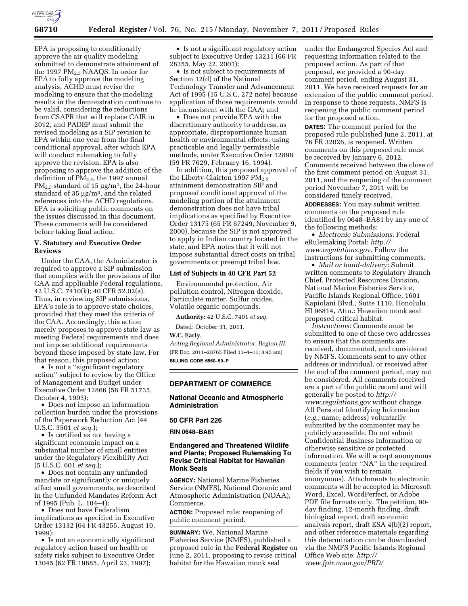

EPA is proposing to conditionally approve the air quality modeling submitted to demonstrate attainment of the 1997 PM2.5 NAAQS. In order for EPA to fully approve the modeling analysis, ACHD must revise the modeling to ensure that the modeling results in the demonstration continue to be valid, considering the reductions from CSAPR that will replace CAIR in 2012, and PADEP must submit the revised modeling as a SIP revision to EPA within one year from the final conditional approval, after which EPA will conduct rulemaking to fully approve the revision. EPA is also proposing to approve the addition of the definition of PM2.5, the 1997 annual PM<sub>2.5</sub> standard of 15  $\mu$ g/m<sup>3</sup>, the 24-hour standard of 35  $\mu$ g/m<sup>3</sup>, and the related references into the ACHD regulations. EPA is soliciting public comments on the issues discussed in this document. These comments will be considered before taking final action.

# **V. Statutory and Executive Order Reviews**

Under the CAA, the Administrator is required to approve a SIP submission that complies with the provisions of the CAA and applicable Federal regulations. 42 U.S.C. 7410(k); 40 CFR 52.02(a). Thus, in reviewing SIP submissions, EPA's role is to approve state choices, provided that they meet the criteria of the CAA. Accordingly, this action merely proposes to approve state law as meeting Federal requirements and does not impose additional requirements beyond those imposed by state law. For that reason, this proposed action:

• Is not a ''significant regulatory action'' subject to review by the Office of Management and Budget under Executive Order 12866 (58 FR 51735, October 4, 1993);

• Does not impose an information collection burden under the provisions of the Paperwork Reduction Act (44 U.S.C. 3501 *et seq.*);

• Is certified as not having a significant economic impact on a substantial number of small entities under the Regulatory Flexibility Act (5 U.S.C. 601 *et seq.*);

• Does not contain any unfunded mandate or significantly or uniquely affect small governments, as described in the Unfunded Mandates Reform Act of 1995 (Pub. L. 104–4);

• Does not have Federalism implications as specified in Executive Order 13132 (64 FR 43255, August 10, 1999);

• Is not an economically significant regulatory action based on health or safety risks subject to Executive Order 13045 (62 FR 19885, April 23, 1997);

• Is not a significant regulatory action subject to Executive Order 13211 (66 FR 28355, May 22, 2001);

• Is not subject to requirements of Section 12(d) of the National Technology Transfer and Advancement Act of 1995 (15 U.S.C. 272 note) because application of those requirements would be inconsistent with the CAA; and

• Does not provide EPA with the discretionary authority to address, as appropriate, disproportionate human health or environmental effects, using practicable and legally permissible methods, under Executive Order 12898 (59 FR 7629, February 16, 1994).

In addition, this proposed approval of the Liberty-Clairton 1997  $PM_{2.5}$ attainment demonstration SIP and proposed conditional approval of the modeling portion of the attainment demonstration does not have tribal implications as specified by Executive Order 13175 (65 FR 67249, November 9, 2000), because the SIP is not approved to apply in Indian country located in the state, and EPA notes that it will not impose substantial direct costs on tribal governments or preempt tribal law.

#### **List of Subjects in 40 CFR Part 52**

Environmental protection, Air pollution control, Nitrogen dioxide, Particulate matter, Sulfur oxides, Volatile organic compounds.

**Authority:** 42 U.S.C. 7401 *et seq.* 

Dated: October 31, 2011.

## **W.C. Early,**

*Acting Regional Administrator, Region III.*  [FR Doc. 2011–28765 Filed 11–4–11; 8:45 am] **BILLING CODE 6560–50–P** 

## **DEPARTMENT OF COMMERCE**

## **National Oceanic and Atmospheric Administration**

### **50 CFR Part 226**

#### **RIN 0648–BA81**

# **Endangered and Threatened Wildlife and Plants; Proposed Rulemaking To Revise Critical Habitat for Hawaiian Monk Seals**

**AGENCY:** National Marine Fisheries Service (NMFS), National Oceanic and Atmospheric Administration (NOAA), Commerce.

**ACTION:** Proposed rule; reopening of public comment period.

**SUMMARY:** We, National Marine Fisheries Service (NMFS), published a proposed rule in the **Federal Register** on June 2, 2011, proposing to revise critical habitat for the Hawaiian monk seal

under the Endangered Species Act and requesting information related to the proposed action. As part of that proposal, we provided a 90-day comment period, ending August 31, 2011. We have received requests for an extension of the public comment period. In response to these requests, NMFS is reopening the public comment period for the proposed action.

**DATES:** The comment period for the proposed rule published June 2, 2011, at 76 FR 32026, is reopened. Written comments on this proposed rule must be received by January 6, 2012. Comments received between the close of the first comment period on August 31, 2011, and the reopening of the comment period November 7, 2011 will be considered timely received.

**ADDRESSES:** You may submit written comments on the proposed rule identified by 0648–BA81 by any one of the following methods:

• *Electronic Submissions:* Federal eRulemaking Portal: *[http://](http://www.regulations.gov) [www.regulations.gov](http://www.regulations.gov)*. Follow the instructions for submitting comments.

• *Mail or hand-delivery:* Submit written comments to Regulatory Branch Chief, Protected Resources Division, National Marine Fisheries Service, Pacific Islands Regional Office, 1601 Kapiolani Blvd., Suite 1110, Honolulu, HI 96814, Attn.: Hawaiian monk seal proposed critical habitat.

*Instructions:* Comments must be submitted to one of these two addresses to ensure that the comments are received, documented, and considered by NMFS. Comments sent to any other address or individual, or received after the end of the comment period, may not be considered. All comments received are a part of the public record and will generally be posted to *[http://](http://www.regulations.gov) [www.regulations.gov](http://www.regulations.gov)* without change. All Personal Identifying Information (*e.g.,* name, address) voluntarily submitted by the commenter may be publicly accessible. Do not submit Confidential Business Information or otherwise sensitive or protected information. We will accept anonymous comments (enter ''NA'' in the required fields if you wish to remain anonymous). Attachments to electronic comments will be accepted in Microsoft Word, Excel, WordPerfect, or Adobe PDF file formats only. The petition, 90 day finding, 12-month finding, draft biological report, draft economic analysis report, draft ESA 4(b)(2) report, and other reference materials regarding this determination can be downloaded via the NMFS Pacific Islands Regional Office Web site: *[http://](http://www.fpir.noaa.gov/PRD/prd_critical_habitat.html) [www.fpir.noaa.gov/PRD/](http://www.fpir.noaa.gov/PRD/prd_critical_habitat.html)*